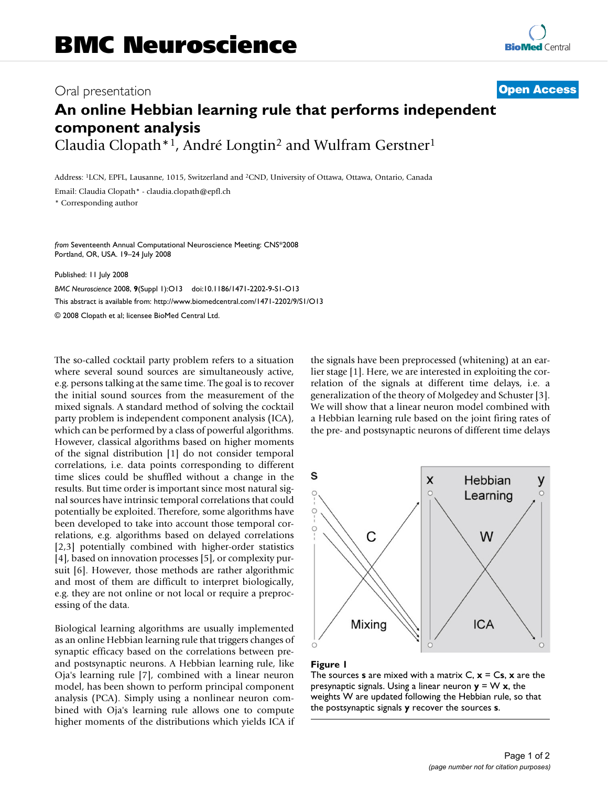## Oral presentation **[Open Access](http://www.biomedcentral.com/info/about/charter/)**

# **An online Hebbian learning rule that performs independent component analysis** Claudia Clopath\*1, André Longtin2 and Wulfram Gerstner1

Address: 1LCN, EPFL, Lausanne, 1015, Switzerland and 2CND, University of Ottawa, Ottawa, Ontario, Canada

Email: Claudia Clopath\* - claudia.clopath@epfl.ch

\* Corresponding author

*from* Seventeenth Annual Computational Neuroscience Meeting: CNS\*2008 Portland, OR, USA. 19–24 July 2008

Published: 11 July 2008

*BMC Neuroscience* 2008, **9**(Suppl 1):O13 doi:10.1186/1471-2202-9-S1-O13 [This abstract is available from: http://www.biomedcentral.com/1471-2202/9/S1/O13](http://www.biomedcentral.com/1471-2202/9/S1/O13)

© 2008 Clopath et al; licensee BioMed Central Ltd.

The so-called cocktail party problem refers to a situation where several sound sources are simultaneously active, e.g. persons talking at the same time. The goal is to recover the initial sound sources from the measurement of the mixed signals. A standard method of solving the cocktail party problem is independent component analysis (ICA), which can be performed by a class of powerful algorithms. However, classical algorithms based on higher moments of the signal distribution [1] do not consider temporal correlations, i.e. data points corresponding to different time slices could be shuffled without a change in the results. But time order is important since most natural signal sources have intrinsic temporal correlations that could potentially be exploited. Therefore, some algorithms have been developed to take into account those temporal correlations, e.g. algorithms based on delayed correlations [2,3] potentially combined with higher-order statistics [4], based on innovation processes [5], or complexity pursuit [6]. However, those methods are rather algorithmic and most of them are difficult to interpret biologically, e.g. they are not online or not local or require a preprocessing of the data.

Biological learning algorithms are usually implemented as an online Hebbian learning rule that triggers changes of synaptic efficacy based on the correlations between preand postsynaptic neurons. A Hebbian learning rule, like Oja's learning rule [7], combined with a linear neuron model, has been shown to perform principal component analysis (PCA). Simply using a nonlinear neuron combined with Oja's learning rule allows one to compute higher moments of the distributions which yields ICA if the signals have been preprocessed (whitening) at an earlier stage [1]. Here, we are interested in exploiting the correlation of the signals at different time delays, i.e. a generalization of the theory of Molgedey and Schuster [3]. We will show that a linear neuron model combined with a Hebbian learning rule based on the joint firing rates of the pre- and postsynaptic neurons of different time delays



### Figure 1

The sources **s** are mixed with a matrix  $C$ ,  $x = Cs$ ,  $x$  are the presynaptic signals. Using a linear neuron  $y = W x$ , the weights W are updated following the Hebbian rule, so that the postsynaptic signals **y** recover the sources **s**.